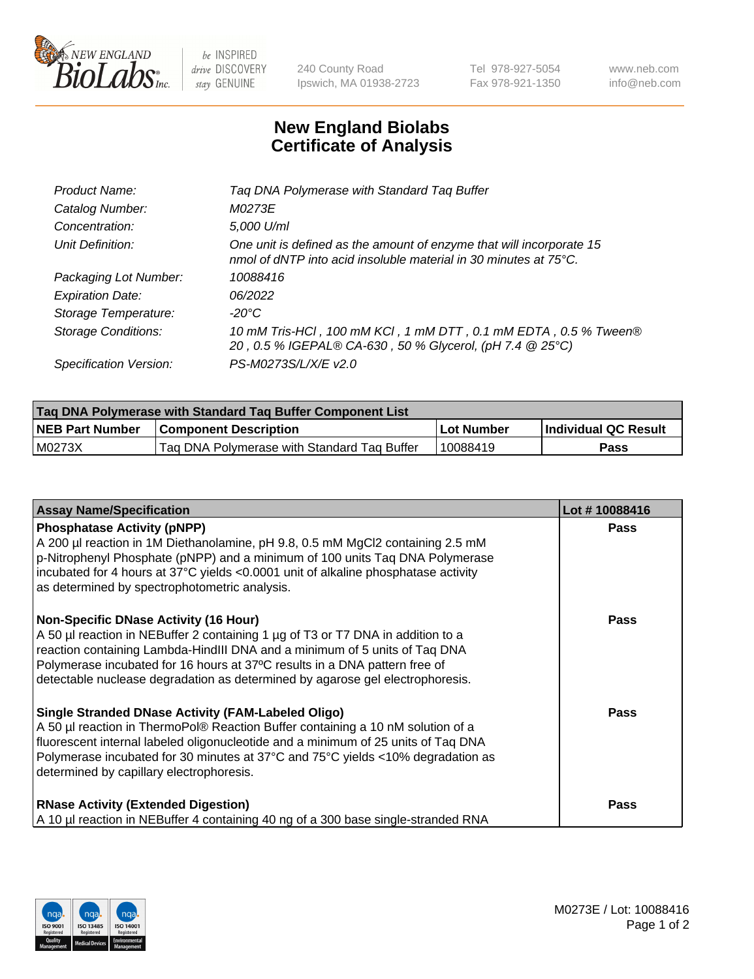

 $be$  INSPIRED drive DISCOVERY stay GENUINE

240 County Road Ipswich, MA 01938-2723 Tel 978-927-5054 Fax 978-921-1350 www.neb.com info@neb.com

## **New England Biolabs Certificate of Analysis**

| Product Name:              | Tag DNA Polymerase with Standard Tag Buffer                                                                                              |
|----------------------------|------------------------------------------------------------------------------------------------------------------------------------------|
| Catalog Number:            | M0273E                                                                                                                                   |
| Concentration:             | 5,000 U/ml                                                                                                                               |
| Unit Definition:           | One unit is defined as the amount of enzyme that will incorporate 15<br>nmol of dNTP into acid insoluble material in 30 minutes at 75°C. |
| Packaging Lot Number:      | 10088416                                                                                                                                 |
| <b>Expiration Date:</b>    | 06/2022                                                                                                                                  |
| Storage Temperature:       | $-20^{\circ}$ C                                                                                                                          |
| <b>Storage Conditions:</b> | 10 mM Tris-HCl, 100 mM KCl, 1 mM DTT, 0.1 mM EDTA, 0.5 % Tween®<br>20, 0.5 % IGEPAL® CA-630, 50 % Glycerol, (pH 7.4 @ 25°C)              |
| Specification Version:     | PS-M0273S/L/X/E v2.0                                                                                                                     |

| Tag DNA Polymerase with Standard Tag Buffer Component List |                                             |              |                      |  |
|------------------------------------------------------------|---------------------------------------------|--------------|----------------------|--|
| <b>NEB Part Number</b>                                     | <b>Component Description</b>                | l Lot Number | Individual QC Result |  |
| M0273X                                                     | Tag DNA Polymerase with Standard Tag Buffer | 10088419     | Pass                 |  |

| <b>Assay Name/Specification</b>                                                                                                                                                                                                                                                                                                                                              | Lot #10088416 |
|------------------------------------------------------------------------------------------------------------------------------------------------------------------------------------------------------------------------------------------------------------------------------------------------------------------------------------------------------------------------------|---------------|
| <b>Phosphatase Activity (pNPP)</b><br>A 200 µl reaction in 1M Diethanolamine, pH 9.8, 0.5 mM MgCl2 containing 2.5 mM<br>p-Nitrophenyl Phosphate (pNPP) and a minimum of 100 units Taq DNA Polymerase<br>incubated for 4 hours at 37°C yields <0.0001 unit of alkaline phosphatase activity<br>as determined by spectrophotometric analysis.                                  | <b>Pass</b>   |
| <b>Non-Specific DNase Activity (16 Hour)</b><br>A 50 µl reaction in NEBuffer 2 containing 1 µg of T3 or T7 DNA in addition to a<br>reaction containing Lambda-HindIII DNA and a minimum of 5 units of Taq DNA<br>Polymerase incubated for 16 hours at 37°C results in a DNA pattern free of<br>detectable nuclease degradation as determined by agarose gel electrophoresis. | <b>Pass</b>   |
| <b>Single Stranded DNase Activity (FAM-Labeled Oligo)</b><br>A 50 µl reaction in ThermoPol® Reaction Buffer containing a 10 nM solution of a<br>fluorescent internal labeled oligonucleotide and a minimum of 25 units of Taq DNA<br>Polymerase incubated for 30 minutes at 37°C and 75°C yields <10% degradation as<br>determined by capillary electrophoresis.             | <b>Pass</b>   |
| <b>RNase Activity (Extended Digestion)</b><br>A 10 µl reaction in NEBuffer 4 containing 40 ng of a 300 base single-stranded RNA                                                                                                                                                                                                                                              | <b>Pass</b>   |